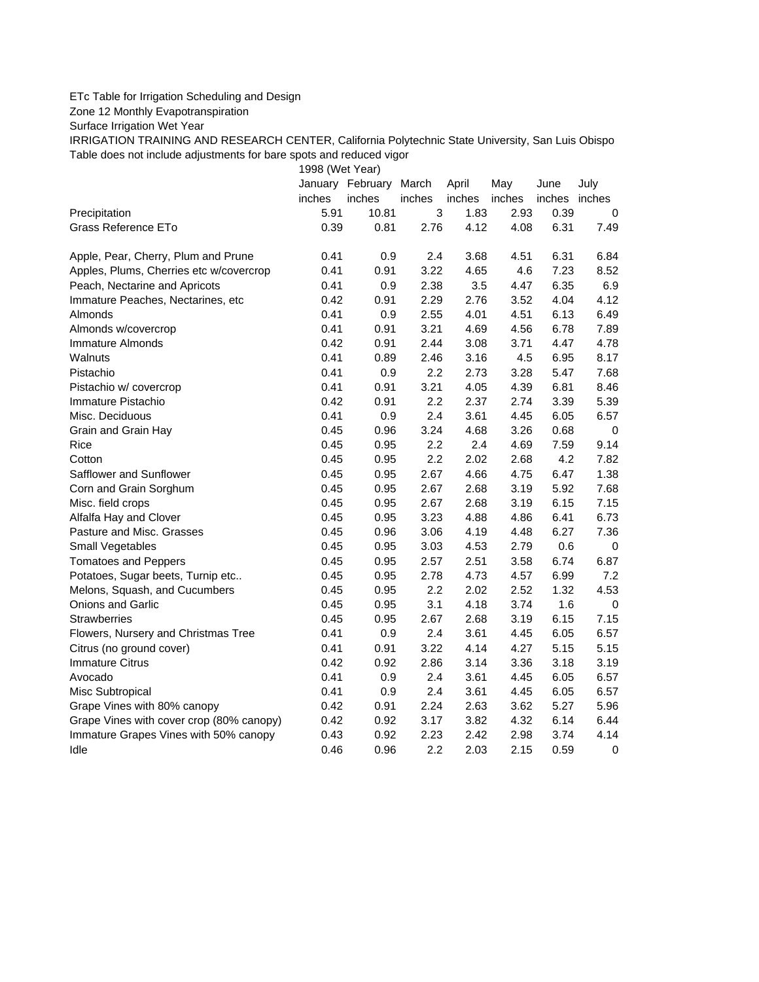## ETc Table for Irrigation Scheduling and Design

Zone 12 Monthly Evapotranspiration

Surface Irrigation Wet Year

IRRIGATION TRAINING AND RESEARCH CENTER, California Polytechnic State University, San Luis Obispo Table does not include adjustments for bare spots and reduced vigor

1998 (Wet Year)

|                                          |        | January February March |        | April  | May    | June   | July        |
|------------------------------------------|--------|------------------------|--------|--------|--------|--------|-------------|
|                                          | inches | inches                 | inches | inches | inches | inches | inches      |
| Precipitation                            | 5.91   | 10.81                  | 3      | 1.83   | 2.93   | 0.39   | 0           |
| Grass Reference ETo                      | 0.39   | 0.81                   | 2.76   | 4.12   | 4.08   | 6.31   | 7.49        |
| Apple, Pear, Cherry, Plum and Prune      | 0.41   | 0.9                    | 2.4    | 3.68   | 4.51   | 6.31   | 6.84        |
| Apples, Plums, Cherries etc w/covercrop  | 0.41   | 0.91                   | 3.22   | 4.65   | 4.6    | 7.23   | 8.52        |
| Peach, Nectarine and Apricots            | 0.41   | 0.9                    | 2.38   | 3.5    | 4.47   | 6.35   | 6.9         |
| Immature Peaches, Nectarines, etc        | 0.42   | 0.91                   | 2.29   | 2.76   | 3.52   | 4.04   | 4.12        |
| Almonds                                  | 0.41   | 0.9                    | 2.55   | 4.01   | 4.51   | 6.13   | 6.49        |
| Almonds w/covercrop                      | 0.41   | 0.91                   | 3.21   | 4.69   | 4.56   | 6.78   | 7.89        |
| Immature Almonds                         | 0.42   | 0.91                   | 2.44   | 3.08   | 3.71   | 4.47   | 4.78        |
| Walnuts                                  | 0.41   | 0.89                   | 2.46   | 3.16   | 4.5    | 6.95   | 8.17        |
| Pistachio                                | 0.41   | 0.9                    | 2.2    | 2.73   | 3.28   | 5.47   | 7.68        |
| Pistachio w/ covercrop                   | 0.41   | 0.91                   | 3.21   | 4.05   | 4.39   | 6.81   | 8.46        |
| Immature Pistachio                       | 0.42   | 0.91                   | 2.2    | 2.37   | 2.74   | 3.39   | 5.39        |
| Misc. Deciduous                          | 0.41   | 0.9                    | 2.4    | 3.61   | 4.45   | 6.05   | 6.57        |
| Grain and Grain Hay                      | 0.45   | 0.96                   | 3.24   | 4.68   | 3.26   | 0.68   | 0           |
| Rice                                     | 0.45   | 0.95                   | 2.2    | 2.4    | 4.69   | 7.59   | 9.14        |
| Cotton                                   | 0.45   | 0.95                   | 2.2    | 2.02   | 2.68   | 4.2    | 7.82        |
| Safflower and Sunflower                  | 0.45   | 0.95                   | 2.67   | 4.66   | 4.75   | 6.47   | 1.38        |
| Corn and Grain Sorghum                   | 0.45   | 0.95                   | 2.67   | 2.68   | 3.19   | 5.92   | 7.68        |
| Misc. field crops                        | 0.45   | 0.95                   | 2.67   | 2.68   | 3.19   | 6.15   | 7.15        |
| Alfalfa Hay and Clover                   | 0.45   | 0.95                   | 3.23   | 4.88   | 4.86   | 6.41   | 6.73        |
| Pasture and Misc. Grasses                | 0.45   | 0.96                   | 3.06   | 4.19   | 4.48   | 6.27   | 7.36        |
| Small Vegetables                         | 0.45   | 0.95                   | 3.03   | 4.53   | 2.79   | 0.6    | 0           |
| <b>Tomatoes and Peppers</b>              | 0.45   | 0.95                   | 2.57   | 2.51   | 3.58   | 6.74   | 6.87        |
| Potatoes, Sugar beets, Turnip etc        | 0.45   | 0.95                   | 2.78   | 4.73   | 4.57   | 6.99   | 7.2         |
| Melons, Squash, and Cucumbers            | 0.45   | 0.95                   | 2.2    | 2.02   | 2.52   | 1.32   | 4.53        |
| Onions and Garlic                        | 0.45   | 0.95                   | 3.1    | 4.18   | 3.74   | 1.6    | 0           |
| Strawberries                             | 0.45   | 0.95                   | 2.67   | 2.68   | 3.19   | 6.15   | 7.15        |
| Flowers, Nursery and Christmas Tree      | 0.41   | 0.9                    | 2.4    | 3.61   | 4.45   | 6.05   | 6.57        |
| Citrus (no ground cover)                 | 0.41   | 0.91                   | 3.22   | 4.14   | 4.27   | 5.15   | 5.15        |
| <b>Immature Citrus</b>                   | 0.42   | 0.92                   | 2.86   | 3.14   | 3.36   | 3.18   | 3.19        |
| Avocado                                  | 0.41   | 0.9                    | 2.4    | 3.61   | 4.45   | 6.05   | 6.57        |
| Misc Subtropical                         | 0.41   | 0.9                    | 2.4    | 3.61   | 4.45   | 6.05   | 6.57        |
| Grape Vines with 80% canopy              | 0.42   | 0.91                   | 2.24   | 2.63   | 3.62   | 5.27   | 5.96        |
| Grape Vines with cover crop (80% canopy) | 0.42   | 0.92                   | 3.17   | 3.82   | 4.32   | 6.14   | 6.44        |
| Immature Grapes Vines with 50% canopy    | 0.43   | 0.92                   | 2.23   | 2.42   | 2.98   | 3.74   | 4.14        |
| Idle                                     | 0.46   | 0.96                   | 2.2    | 2.03   | 2.15   | 0.59   | $\mathbf 0$ |